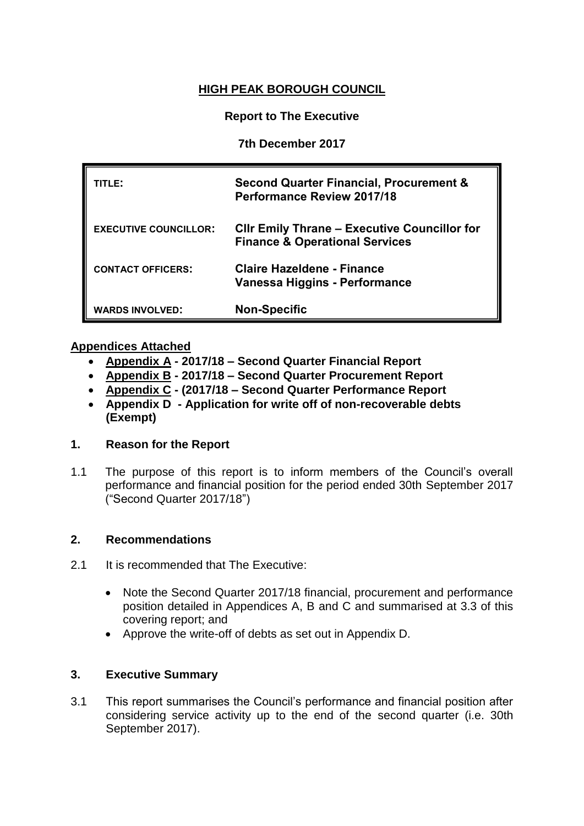# **HIGH PEAK BOROUGH COUNCIL**

### **Report to The Executive**

## **7th December 2017**

| TITLE:                       | <b>Second Quarter Financial, Procurement &amp;</b><br><b>Performance Review 2017/18</b>          |
|------------------------------|--------------------------------------------------------------------------------------------------|
| <b>EXECUTIVE COUNCILLOR:</b> | <b>CIIr Emily Thrane – Executive Councillor for</b><br><b>Finance &amp; Operational Services</b> |
| <b>CONTACT OFFICERS:</b>     | Claire Hazeldene - Finance<br>Vanessa Higgins - Performance                                      |
| <b>WARDS INVOLVED:</b>       | <b>Non-Specific</b>                                                                              |

### **Appendices Attached**

- **[Appendix A](http://smdcintranet/committeeagendas/2012-13/Overview%20&%20Scrutiny/Resources/11Jul12/SMDC%20-%20Q4%20(Prov%20Out)%2011-12%20App%20A%20(11-07-12).doc) - 2017/18 – Second Quarter Financial Report**
- **[Appendix B](http://smdcintranet/committeeagendas/2012-13/Overview%20&%20Scrutiny/Resources/11Jul12/SMDC%20-%20Q4%20(Prov%20Out)%2011-12%20App%20B%20(11-07-12).doc) - 2017/18 – Second Quarter Procurement Report**
- **[Appendix](http://smdcintranet/committeeagendas/2012-13/Overview%20&%20Scrutiny/Resources/11Jul12/SMDC%20-%20Q4%20(Prov%20Out)%2011-12%20App%20C%20(11-07-12).doc) C - (2017/18 – Second Quarter Performance Report**
- **Appendix D - Application for write off of non-recoverable debts (Exempt)**

# **1. Reason for the Report**

1.1 The purpose of this report is to inform members of the Council's overall performance and financial position for the period ended 30th September 2017 ("Second Quarter 2017/18")

#### **2. Recommendations**

- 2.1 It is recommended that The Executive:
	- Note the Second Quarter 2017/18 financial, procurement and performance position detailed in Appendices A, B and C and summarised at 3.3 of this covering report; and
	- Approve the write-off of debts as set out in Appendix D.

# **3. Executive Summary**

3.1 This report summarises the Council's performance and financial position after considering service activity up to the end of the second quarter (i.e. 30th September 2017).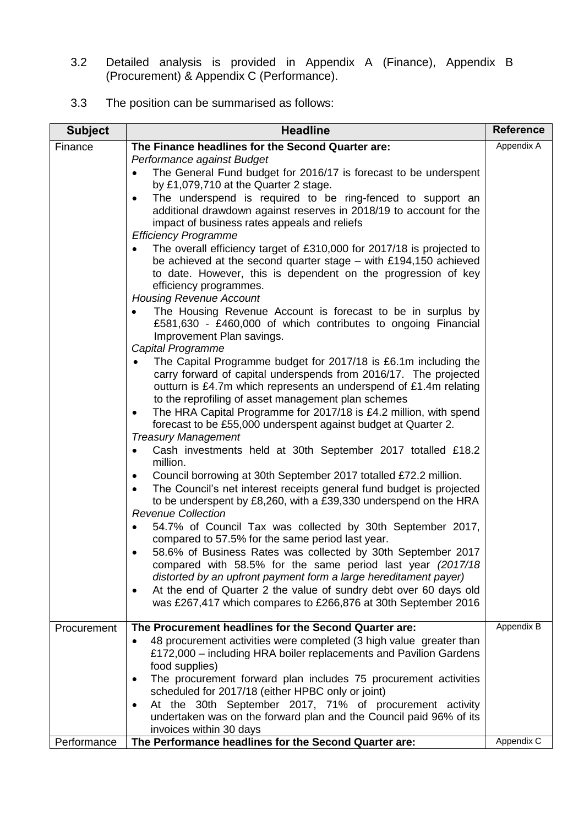3.2 Detailed analysis is provided in Appendix A (Finance), Appendix B (Procurement) & Appendix C (Performance).

| 3.3 | The position can be summarised as follows: |
|-----|--------------------------------------------|
|-----|--------------------------------------------|

| <b>Subject</b> | <b>Headline</b>                                                                                                                               | <b>Reference</b> |
|----------------|-----------------------------------------------------------------------------------------------------------------------------------------------|------------------|
| Finance        | The Finance headlines for the Second Quarter are:                                                                                             | Appendix A       |
|                | Performance against Budget                                                                                                                    |                  |
|                | The General Fund budget for 2016/17 is forecast to be underspent                                                                              |                  |
|                | by £1,079,710 at the Quarter 2 stage.                                                                                                         |                  |
|                | The underspend is required to be ring-fenced to support an<br>$\bullet$<br>additional drawdown against reserves in 2018/19 to account for the |                  |
|                | impact of business rates appeals and reliefs                                                                                                  |                  |
|                | <b>Efficiency Programme</b>                                                                                                                   |                  |
|                | The overall efficiency target of £310,000 for 2017/18 is projected to                                                                         |                  |
|                | be achieved at the second quarter stage – with £194,150 achieved                                                                              |                  |
|                | to date. However, this is dependent on the progression of key                                                                                 |                  |
|                | efficiency programmes.                                                                                                                        |                  |
|                | <b>Housing Revenue Account</b>                                                                                                                |                  |
|                | The Housing Revenue Account is forecast to be in surplus by                                                                                   |                  |
|                | £581,630 - £460,000 of which contributes to ongoing Financial<br>Improvement Plan savings.                                                    |                  |
|                | Capital Programme                                                                                                                             |                  |
|                | The Capital Programme budget for 2017/18 is £6.1m including the                                                                               |                  |
|                | carry forward of capital underspends from 2016/17. The projected                                                                              |                  |
|                | outturn is £4.7m which represents an underspend of £1.4m relating                                                                             |                  |
|                | to the reprofiling of asset management plan schemes                                                                                           |                  |
|                | The HRA Capital Programme for 2017/18 is £4.2 million, with spend<br>$\bullet$                                                                |                  |
|                | forecast to be £55,000 underspent against budget at Quarter 2.                                                                                |                  |
|                | <b>Treasury Management</b>                                                                                                                    |                  |
|                | Cash investments held at 30th September 2017 totalled £18.2<br>$\bullet$<br>million.                                                          |                  |
|                | Council borrowing at 30th September 2017 totalled £72.2 million.<br>٠                                                                         |                  |
|                | The Council's net interest receipts general fund budget is projected<br>$\bullet$                                                             |                  |
|                | to be underspent by £8,260, with a £39,330 underspend on the HRA                                                                              |                  |
|                | <b>Revenue Collection</b>                                                                                                                     |                  |
|                | 54.7% of Council Tax was collected by 30th September 2017,                                                                                    |                  |
|                | compared to 57.5% for the same period last year.                                                                                              |                  |
|                | 58.6% of Business Rates was collected by 30th September 2017                                                                                  |                  |
|                | compared with 58.5% for the same period last year (2017/18<br>distorted by an upfront payment form a large hereditament payer)                |                  |
|                | At the end of Quarter 2 the value of sundry debt over 60 days old<br>$\bullet$                                                                |                  |
|                | was £267,417 which compares to £266,876 at 30th September 2016                                                                                |                  |
|                |                                                                                                                                               |                  |
| Procurement    | The Procurement headlines for the Second Quarter are:                                                                                         | Appendix B       |
|                | 48 procurement activities were completed (3 high value greater than<br>$\bullet$                                                              |                  |
|                | £172,000 – including HRA boiler replacements and Pavilion Gardens                                                                             |                  |
|                | food supplies)                                                                                                                                |                  |
|                | The procurement forward plan includes 75 procurement activities<br>$\bullet$<br>scheduled for 2017/18 (either HPBC only or joint)             |                  |
|                | At the 30th September 2017, 71% of procurement activity<br>$\bullet$                                                                          |                  |
|                | undertaken was on the forward plan and the Council paid 96% of its                                                                            |                  |
|                | invoices within 30 days                                                                                                                       |                  |
| Performance    | The Performance headlines for the Second Quarter are:                                                                                         | Appendix C       |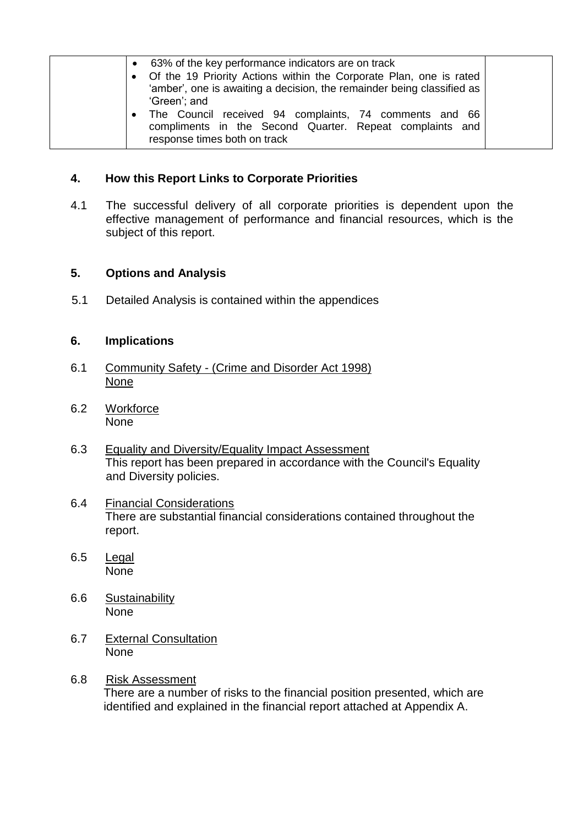| 63% of the key performance indicators are on track<br>Of the 19 Priority Actions within the Corporate Plan, one is rated<br>'amber', one is awaiting a decision, the remainder being classified as<br>'Green'; and<br>The Council received 94 complaints, 74 comments and 66 |  |
|------------------------------------------------------------------------------------------------------------------------------------------------------------------------------------------------------------------------------------------------------------------------------|--|
| compliments in the Second Quarter. Repeat complaints and<br>response times both on track                                                                                                                                                                                     |  |

## **4. How this Report Links to Corporate Priorities**

4.1 The successful delivery of all corporate priorities is dependent upon the effective management of performance and financial resources, which is the subject of this report.

#### **5. Options and Analysis**

5.1 Detailed Analysis is contained within the appendices

#### **6. Implications**

- 6.1 Community Safety (Crime and Disorder Act 1998) None
- 6.2 Workforce None
- 6.3 Equality and Diversity/Equality Impact Assessment This report has been prepared in accordance with the Council's Equality and Diversity policies.
- 6.4 Financial Considerations There are substantial financial considerations contained throughout the report.
- 6.5 Legal None
- 6.6 Sustainability None
- 6.7 External Consultation None
- 6.8 Risk Assessment There are a number of risks to the financial position presented, which are identified and explained in the financial report attached at Appendix A.